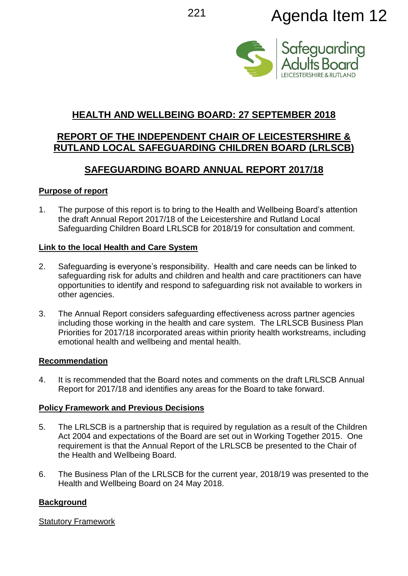

# **HEALTH AND WELLBEING BOARD: 27 SEPTEMBER 2018**

# **REPORT OF THE INDEPENDENT CHAIR OF LEICESTERSHIRE & RUTLAND LOCAL SAFEGUARDING CHILDREN BOARD (LRLSCB)**

# **SAFEGUARDING BOARD ANNUAL REPORT 2017/18**

#### **Purpose of report**

1. The purpose of this report is to bring to the Health and Wellbeing Board's attention the draft Annual Report 2017/18 of the Leicestershire and Rutland Local Safeguarding Children Board LRLSCB for 2018/19 for consultation and comment.

#### **Link to the local Health and Care System**

- 2. Safeguarding is everyone's responsibility. Health and care needs can be linked to safeguarding risk for adults and children and health and care practitioners can have opportunities to identify and respond to safeguarding risk not available to workers in other agencies.
- 3. The Annual Report considers safeguarding effectiveness across partner agencies including those working in the health and care system. The LRLSCB Business Plan Priorities for 2017/18 incorporated areas within priority health workstreams, including emotional health and wellbeing and mental health.

#### **Recommendation**

4. It is recommended that the Board notes and comments on the draft LRLSCB Annual Report for 2017/18 and identifies any areas for the Board to take forward.

# **Policy Framework and Previous Decisions**

- 5. The LRLSCB is a partnership that is required by regulation as a result of the Children Act 2004 and expectations of the Board are set out in Working Together 2015. One requirement is that the Annual Report of the LRLSCB be presented to the Chair of the Health and Wellbeing Board.
- 6. The Business Plan of the LRLSCB for the current year, 2018/19 was presented to the Health and Wellbeing Board on 24 May 2018.

# **Background**

# Statutory Framework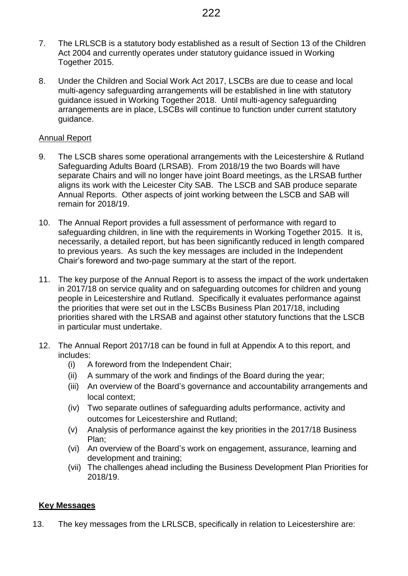- 7. The LRLSCB is a statutory body established as a result of Section 13 of the Children Act 2004 and currently operates under statutory guidance issued in Working Together 2015.
- 8. Under the Children and Social Work Act 2017, LSCBs are due to cease and local multi-agency safeguarding arrangements will be established in line with statutory guidance issued in Working Together 2018. Until multi-agency safeguarding arrangements are in place, LSCBs will continue to function under current statutory guidance.

#### Annual Report

- 9. The LSCB shares some operational arrangements with the Leicestershire & Rutland Safeguarding Adults Board (LRSAB). From 2018/19 the two Boards will have separate Chairs and will no longer have joint Board meetings, as the LRSAB further aligns its work with the Leicester City SAB. The LSCB and SAB produce separate Annual Reports. Other aspects of joint working between the LSCB and SAB will remain for 2018/19.
- 10. The Annual Report provides a full assessment of performance with regard to safeguarding children, in line with the requirements in Working Together 2015. It is, necessarily, a detailed report, but has been significantly reduced in length compared to previous years. As such the key messages are included in the Independent Chair's foreword and two-page summary at the start of the report.
- 11. The key purpose of the Annual Report is to assess the impact of the work undertaken in 2017/18 on service quality and on safeguarding outcomes for children and young people in Leicestershire and Rutland. Specifically it evaluates performance against the priorities that were set out in the LSCBs Business Plan 2017/18, including priorities shared with the LRSAB and against other statutory functions that the LSCB in particular must undertake.
- 12. The Annual Report 2017/18 can be found in full at Appendix A to this report, and includes:
	- (i) A foreword from the Independent Chair;
	- (ii) A summary of the work and findings of the Board during the year;
	- (iii) An overview of the Board's governance and accountability arrangements and local context;
	- (iv) Two separate outlines of safeguarding adults performance, activity and outcomes for Leicestershire and Rutland;
	- (v) Analysis of performance against the key priorities in the 2017/18 Business Plan;
	- (vi) An overview of the Board's work on engagement, assurance, learning and development and training;
	- (vii) The challenges ahead including the Business Development Plan Priorities for 2018/19.

#### **Key Messages**

13. The key messages from the LRLSCB, specifically in relation to Leicestershire are: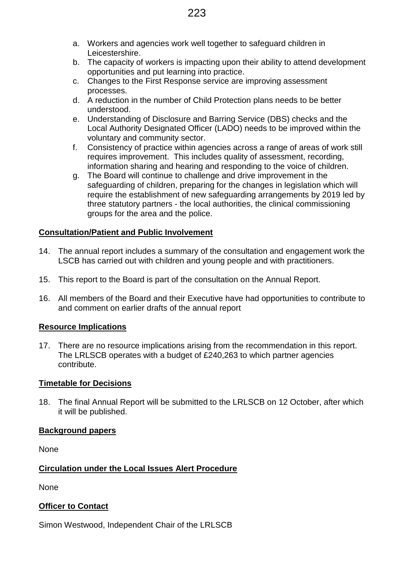- a. Workers and agencies work well together to safeguard children in Leicestershire.
- b. The capacity of workers is impacting upon their ability to attend development opportunities and put learning into practice.
- c. Changes to the First Response service are improving assessment processes.
- d. A reduction in the number of Child Protection plans needs to be better understood.
- e. Understanding of Disclosure and Barring Service (DBS) checks and the Local Authority Designated Officer (LADO) needs to be improved within the voluntary and community sector.
- f. Consistency of practice within agencies across a range of areas of work still requires improvement. This includes quality of assessment, recording, information sharing and hearing and responding to the voice of children.
- g. The Board will continue to challenge and drive improvement in the safeguarding of children, preparing for the changes in legislation which will require the establishment of new safeguarding arrangements by 2019 led by three statutory partners - the local authorities, the clinical commissioning groups for the area and the police.

# **Consultation/Patient and Public Involvement**

- 14. The annual report includes a summary of the consultation and engagement work the LSCB has carried out with children and young people and with practitioners.
- 15. This report to the Board is part of the consultation on the Annual Report.
- 16. All members of the Board and their Executive have had opportunities to contribute to and comment on earlier drafts of the annual report

# **Resource Implications**

17. There are no resource implications arising from the recommendation in this report. The LRLSCB operates with a budget of £240,263 to which partner agencies contribute.

# **Timetable for Decisions**

18. The final Annual Report will be submitted to the LRLSCB on 12 October, after which it will be published.

# **Background papers**

None

# **Circulation under the Local Issues Alert Procedure**

None

# **Officer to Contact**

Simon Westwood, Independent Chair of the LRLSCB